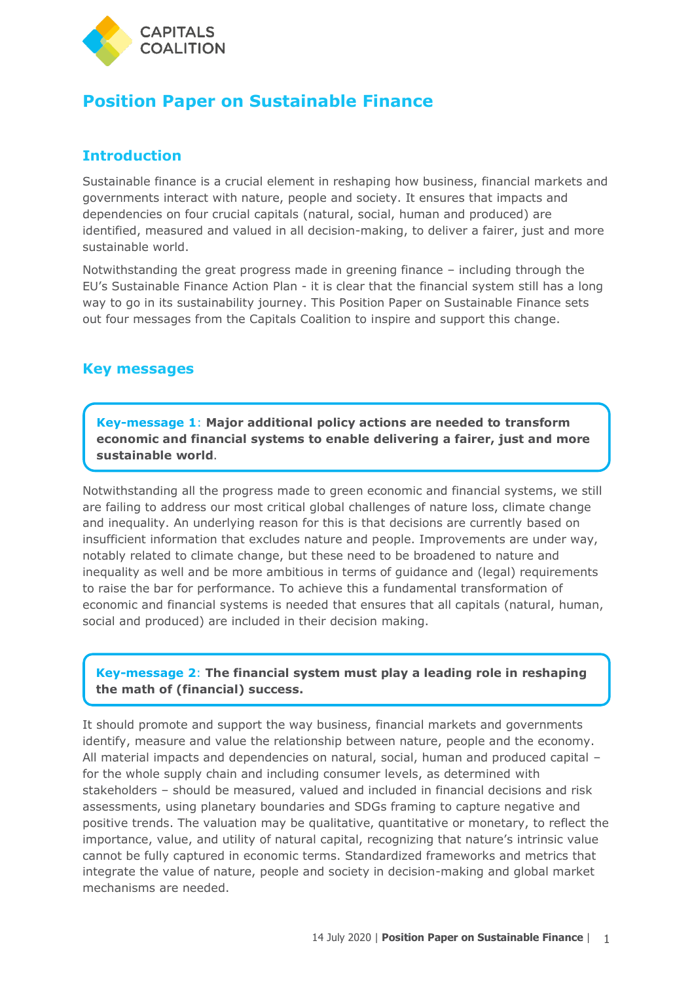

# **Position Paper on Sustainable Finance**

## **Introduction**

Sustainable finance is a crucial element in reshaping how business, financial markets and governments interact with nature, people and society. It ensures that impacts and dependencies on four crucial capitals (natural, social, human and produced) are identified, measured and valued in all decision-making, to deliver a fairer, just and more sustainable world.

Notwithstanding the great progress made in greening finance – including through the EU's Sustainable Finance Action Plan - it is clear that the financial system still has a long way to go in its sustainability journey. This Position Paper on Sustainable Finance sets out four messages from the Capitals Coalition to inspire and support this change.

### **Key messages**

**Key-message 1**: **Major additional policy actions are needed to transform economic and financial systems to enable delivering a fairer, just and more sustainable world**.

Notwithstanding all the progress made to green economic and financial systems, we still are failing to address our most critical global challenges of nature loss, climate change and inequality. An underlying reason for this is that decisions are currently based on insufficient information that excludes nature and people. Improvements are under way, notably related to climate change, but these need to be broadened to nature and inequality as well and be more ambitious in terms of guidance and (legal) requirements to raise the bar for performance. To achieve this a fundamental transformation of economic and financial systems is needed that ensures that all capitals (natural, human, social and produced) are included in their decision making.

#### **Key-message 2**: **The financial system must play a leading role in reshaping the math of (financial) success.**

It should promote and support the way business, financial markets and governments identify, measure and value the relationship between nature, people and the economy. All material impacts and dependencies on natural, social, human and produced capital – for the whole supply chain and including consumer levels, as determined with stakeholders – should be measured, valued and included in financial decisions and risk assessments, using planetary boundaries and SDGs framing to capture negative and positive trends. The valuation may be qualitative, quantitative or monetary, to reflect the importance, value, and utility of natural capital, recognizing that nature's intrinsic value cannot be fully captured in economic terms. Standardized frameworks and metrics that integrate the value of nature, people and society in decision-making and global market mechanisms are needed.